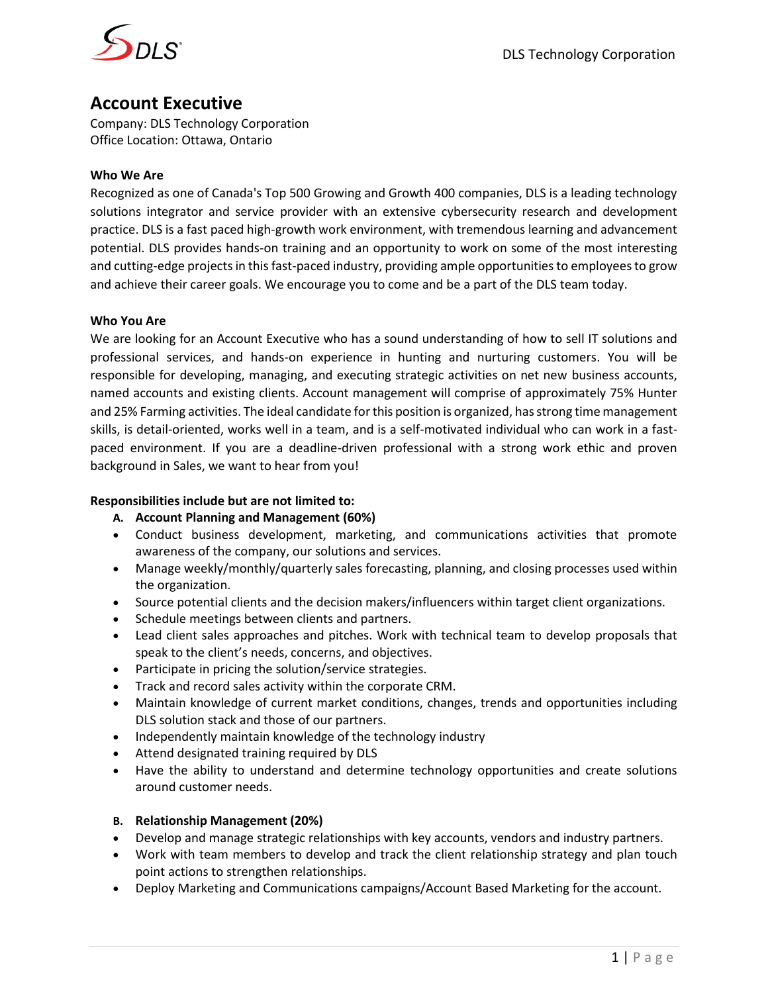

# **Account Executive**

Company: DLS Technology Corporation Office Location: Ottawa, Ontario

# **Who We Are**

Recognized as one of Canada's Top 500 Growing and Growth 400 companies, DLS is a leading technology solutions integrator and service provider with an extensive cybersecurity research and development practice. DLS is a fast paced high-growth work environment, with tremendous learning and advancement potential. DLS provides hands-on training and an opportunity to work on some of the most interesting and cutting-edge projects in this fast-paced industry, providing ample opportunities to employees to grow and achieve their career goals. We encourage you to come and be a part of the DLS team today.

## **Who You Are**

We are looking for an Account Executive who has a sound understanding of how to sell IT solutions and professional services, and hands-on experience in hunting and nurturing customers. You will be responsible for developing, managing, and executing strategic activities on net new business accounts, named accounts and existing clients. Account management will comprise of approximately 75% Hunter and 25% Farming activities. The ideal candidate for this position is organized, has strong time management skills, is detail-oriented, works well in a team, and is a self-motivated individual who can work in a fastpaced environment. If you are a deadline-driven professional with a strong work ethic and proven background in Sales, we want to hear from you!

## **Responsibilities include but are not limited to:**

- **A. Account Planning and Management (60%)**
- Conduct business development, marketing, and communications activities that promote awareness of the company, our solutions and services.
- Manage weekly/monthly/quarterly sales forecasting, planning, and closing processes used within the organization.
- Source potential clients and the decision makers/influencers within target client organizations.
- Schedule meetings between clients and partners.
- Lead client sales approaches and pitches. Work with technical team to develop proposals that speak to the client's needs, concerns, and objectives.
- Participate in pricing the solution/service strategies.
- Track and record sales activity within the corporate CRM.
- Maintain knowledge of current market conditions, changes, trends and opportunities including DLS solution stack and those of our partners.
- Independently maintain knowledge of the technology industry
- Attend designated training required by DLS
- Have the ability to understand and determine technology opportunities and create solutions around customer needs.

## **B. Relationship Management (20%)**

- Develop and manage strategic relationships with key accounts, vendors and industry partners.
- Work with team members to develop and track the client relationship strategy and plan touch point actions to strengthen relationships.
- Deploy Marketing and Communications campaigns/Account Based Marketing for the account.